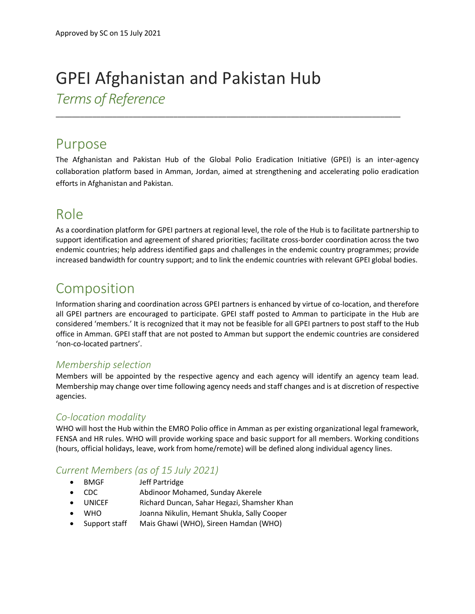# GPEI Afghanistan and Pakistan Hub *Terms of Reference*

## Purpose

The Afghanistan and Pakistan Hub of the Global Polio Eradication Initiative (GPEI) is an inter-agency collaboration platform based in Amman, Jordan, aimed at strengthening and accelerating polio eradication efforts in Afghanistan and Pakistan.

\_\_\_\_\_\_\_\_\_\_\_\_\_\_\_\_\_\_\_\_\_\_\_\_\_\_\_\_\_\_\_\_\_\_\_\_\_\_\_\_\_\_\_\_\_\_\_\_\_\_\_\_\_\_\_\_\_\_\_\_\_\_\_\_\_\_\_\_\_\_\_\_\_\_\_\_\_\_\_\_\_\_\_\_\_

## Role

As a coordination platform for GPEI partners at regional level, the role of the Hub is to facilitate partnership to support identification and agreement of shared priorities; facilitate cross-border coordination across the two endemic countries; help address identified gaps and challenges in the endemic country programmes; provide increased bandwidth for country support; and to link the endemic countries with relevant GPEI global bodies.

## Composition

Information sharing and coordination across GPEI partners is enhanced by virtue of co-location, and therefore all GPEI partners are encouraged to participate. GPEI staff posted to Amman to participate in the Hub are considered 'members.' It is recognized that it may not be feasible for all GPEI partners to post staff to the Hub office in Amman. GPEI staff that are not posted to Amman but support the endemic countries are considered 'non-co-located partners'.

#### *Membership selection*

Members will be appointed by the respective agency and each agency will identify an agency team lead. Membership may change over time following agency needs and staff changes and is at discretion of respective agencies.

#### *Co-location modality*

WHO will host the Hub within the EMRO Polio office in Amman as per existing organizational legal framework, FENSA and HR rules. WHO will provide working space and basic support for all members. Working conditions (hours, official holidays, leave, work from home/remote) will be defined along individual agency lines.

### *Current Members (as of 15 July 2021)*

- BMGF Jeff Partridge
- CDC Abdinoor Mohamed, Sunday Akerele
- UNICEF Richard Duncan, Sahar Hegazi, Shamsher Khan
- WHO Joanna Nikulin, Hemant Shukla, Sally Cooper
- Support staff Mais Ghawi (WHO), Sireen Hamdan (WHO)